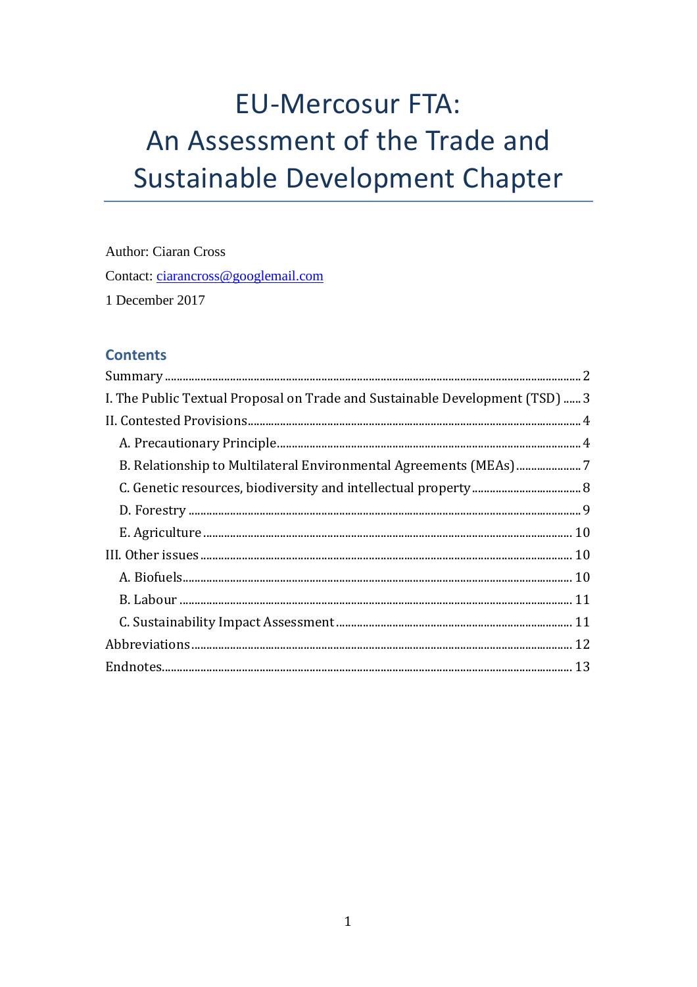# **EU-Mercosur FTA:** An Assessment of the Trade and **Sustainable Development Chapter**

**Author: Ciaran Cross** Contact: ciarancross@googlemail.com 1 December 2017

# **Contents**

| I. The Public Textual Proposal on Trade and Sustainable Development (TSD)  3 |
|------------------------------------------------------------------------------|
|                                                                              |
|                                                                              |
|                                                                              |
|                                                                              |
|                                                                              |
|                                                                              |
|                                                                              |
|                                                                              |
|                                                                              |
|                                                                              |
|                                                                              |
|                                                                              |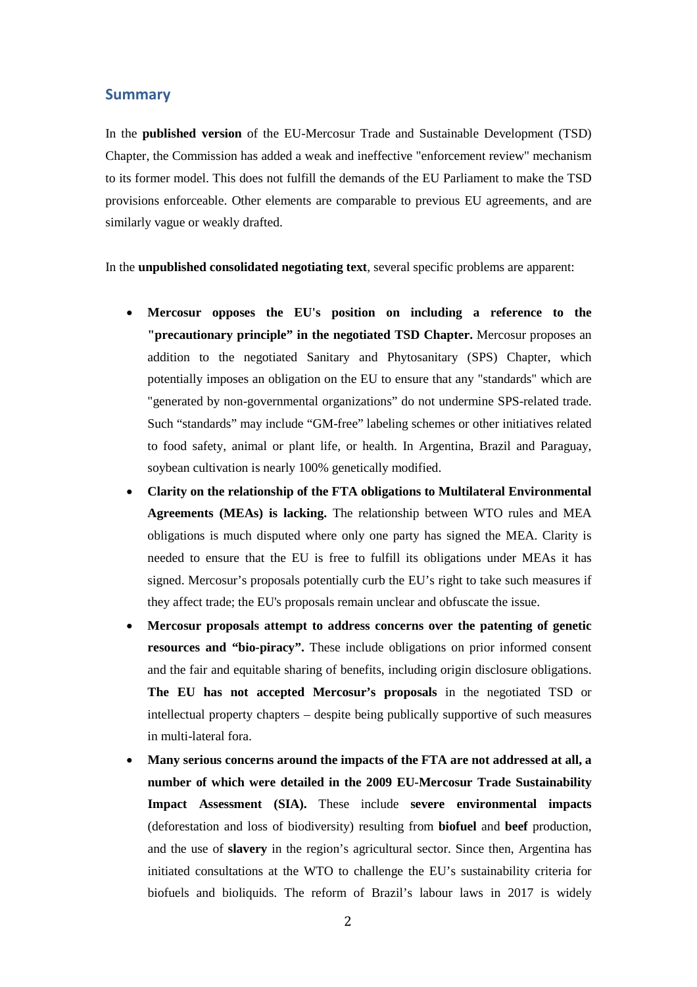#### <span id="page-1-0"></span>**Summary**

In the **published version** of the EU-Mercosur Trade and Sustainable Development (TSD) Chapter, the Commission has added a weak and ineffective "enforcement review" mechanism to its former model. This does not fulfill the demands of the EU Parliament to make the TSD provisions enforceable. Other elements are comparable to previous EU agreements, and are similarly vague or weakly drafted.

In the **unpublished consolidated negotiating text**, several specific problems are apparent:

- **Mercosur opposes the EU's position on including a reference to the "precautionary principle" in the negotiated TSD Chapter.** Mercosur proposes an addition to the negotiated Sanitary and Phytosanitary (SPS) Chapter, which potentially imposes an obligation on the EU to ensure that any "standards" which are "generated by non-governmental organizations" do not undermine SPS-related trade. Such "standards" may include "GM-free" labeling schemes or other initiatives related to food safety, animal or plant life, or health. In Argentina, Brazil and Paraguay, soybean cultivation is nearly 100% genetically modified.
- **Clarity on the relationship of the FTA obligations to Multilateral Environmental Agreements (MEAs) is lacking.** The relationship between WTO rules and MEA obligations is much disputed where only one party has signed the MEA. Clarity is needed to ensure that the EU is free to fulfill its obligations under MEAs it has signed. Mercosur's proposals potentially curb the EU's right to take such measures if they affect trade; the EU's proposals remain unclear and obfuscate the issue.
- **Mercosur proposals attempt to address concerns over the patenting of genetic resources and "bio-piracy".** These include obligations on prior informed consent and the fair and equitable sharing of benefits, including origin disclosure obligations. **The EU has not accepted Mercosur's proposals** in the negotiated TSD or intellectual property chapters – despite being publically supportive of such measures in multi-lateral fora.
- **Many serious concerns around the impacts of the FTA are not addressed at all, a number of which were detailed in the 2009 EU-Mercosur Trade Sustainability Impact Assessment (SIA).** These include **severe environmental impacts** (deforestation and loss of biodiversity) resulting from **biofuel** and **beef** production, and the use of **slavery** in the region's agricultural sector. Since then, Argentina has initiated consultations at the WTO to challenge the EU's sustainability criteria for biofuels and bioliquids. The reform of Brazil's labour laws in 2017 is widely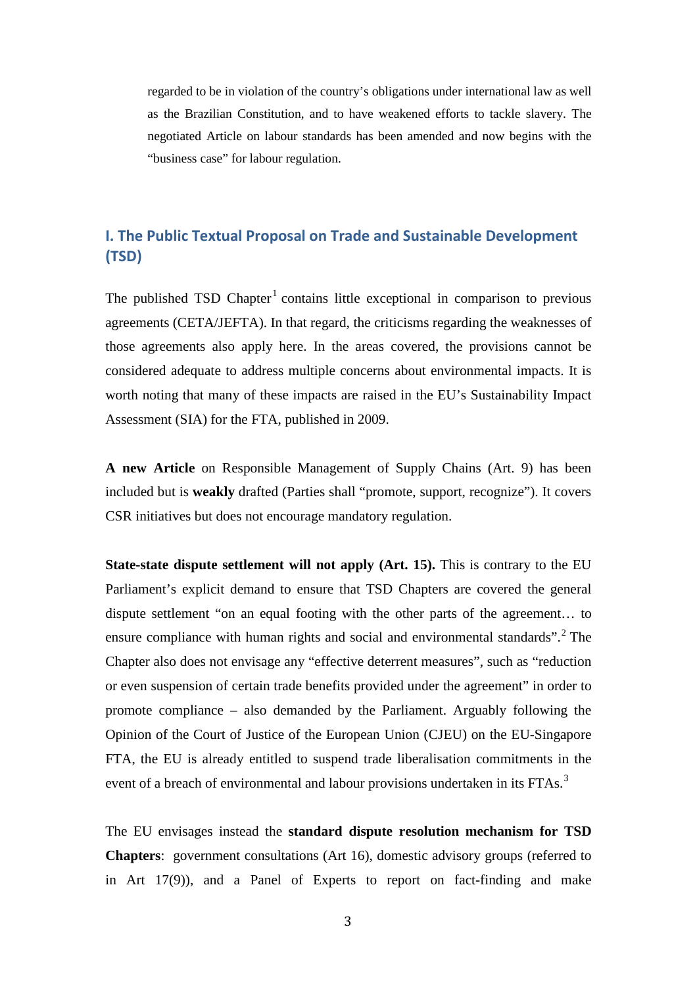regarded to be in violation of the country's obligations under international law as well as the Brazilian Constitution, and to have weakened efforts to tackle slavery. The negotiated Article on labour standards has been amended and now begins with the "business case" for labour regulation.

# <span id="page-2-0"></span>**I. The Public Textual Proposal on Trade and Sustainable Development (TSD)**

The published TSD Chapter<sup>[1](#page-12-1)</sup> contains little exceptional in comparison to previous agreements (CETA/JEFTA). In that regard, the criticisms regarding the weaknesses of those agreements also apply here. In the areas covered, the provisions cannot be considered adequate to address multiple concerns about environmental impacts. It is worth noting that many of these impacts are raised in the EU's Sustainability Impact Assessment (SIA) for the FTA, published in 2009.

**A new Article** on Responsible Management of Supply Chains (Art. 9) has been included but is **weakly** drafted (Parties shall "promote, support, recognize"). It covers CSR initiatives but does not encourage mandatory regulation.

**State-state dispute settlement will not apply (Art. 15).** This is contrary to the EU Parliament's explicit demand to ensure that TSD Chapters are covered the general dispute settlement "on an equal footing with the other parts of the agreement… to ensure compliance with human rights and social and environmental standards".<sup>[2](#page-12-2)</sup> The Chapter also does not envisage any "effective deterrent measures", such as "reduction or even suspension of certain trade benefits provided under the agreement" in order to promote compliance – also demanded by the Parliament. Arguably following the Opinion of the Court of Justice of the European Union (CJEU) on the EU-Singapore FTA, the EU is already entitled to suspend trade liberalisation commitments in the event of a breach of environmental and labour provisions undertaken in its FTAs.<sup>[3](#page-12-3)</sup>

The EU envisages instead the **standard dispute resolution mechanism for TSD Chapters**: government consultations (Art 16), domestic advisory groups (referred to in Art 17(9)), and a Panel of Experts to report on fact-finding and make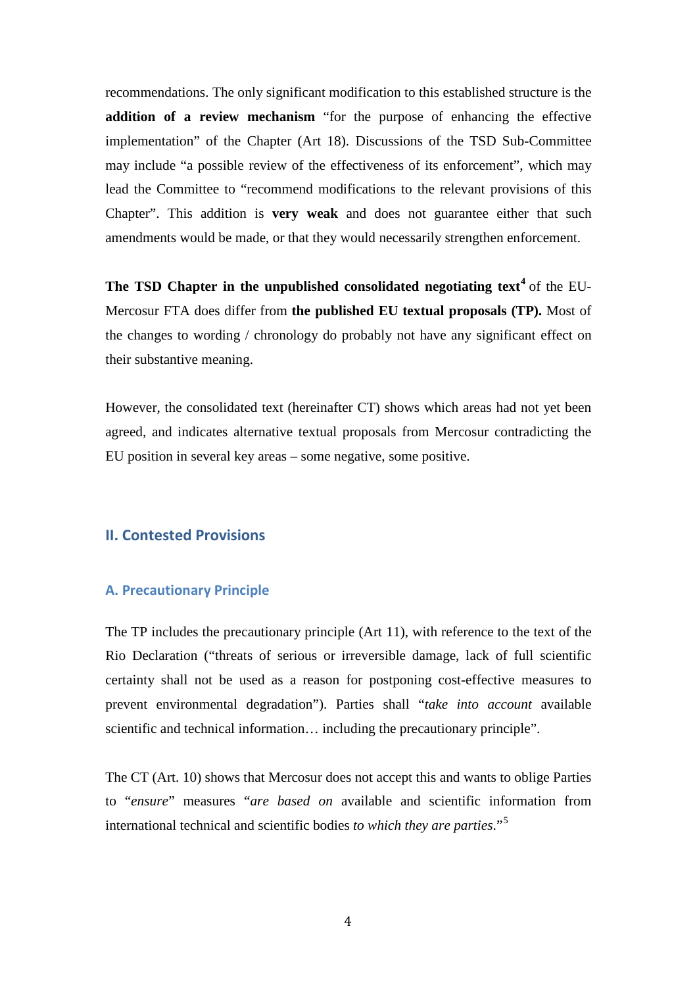recommendations. The only significant modification to this established structure is the **addition of a review mechanism** "for the purpose of enhancing the effective implementation" of the Chapter (Art 18). Discussions of the TSD Sub-Committee may include "a possible review of the effectiveness of its enforcement", which may lead the Committee to "recommend modifications to the relevant provisions of this Chapter". This addition is **very weak** and does not guarantee either that such amendments would be made, or that they would necessarily strengthen enforcement.

**The TSD Chapter in the unpublished consolidated negotiating text[4](#page-13-0)** of the EU-Mercosur FTA does differ from **the published EU textual proposals (TP).** Most of the changes to wording / chronology do probably not have any significant effect on their substantive meaning.

However, the consolidated text (hereinafter CT) shows which areas had not yet been agreed, and indicates alternative textual proposals from Mercosur contradicting the EU position in several key areas – some negative, some positive.

# <span id="page-3-0"></span>**II. Contested Provisions**

#### <span id="page-3-1"></span>**A. Precautionary Principle**

The TP includes the precautionary principle (Art 11), with reference to the text of the Rio Declaration ("threats of serious or irreversible damage, lack of full scientific certainty shall not be used as a reason for postponing cost-effective measures to prevent environmental degradation"). Parties shall "*take into account* available scientific and technical information… including the precautionary principle".

The CT (Art. 10) shows that Mercosur does not accept this and wants to oblige Parties to "*ensure*" measures "*are based on* available and scientific information from international technical and scientific bodies *to which they are parties*."[5](#page-13-1)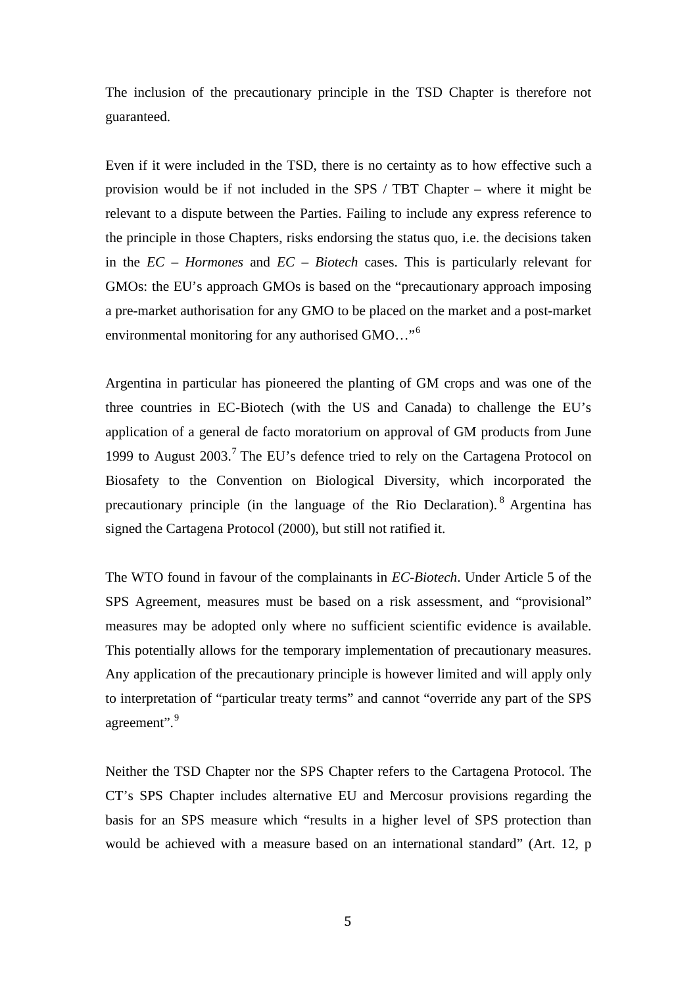The inclusion of the precautionary principle in the TSD Chapter is therefore not guaranteed.

Even if it were included in the TSD, there is no certainty as to how effective such a provision would be if not included in the SPS / TBT Chapter – where it might be relevant to a dispute between the Parties. Failing to include any express reference to the principle in those Chapters, risks endorsing the status quo, i.e. the decisions taken in the *EC – Hormones* and *EC – Biotech* cases. This is particularly relevant for GMOs: the EU's approach GMOs is based on the "precautionary approach imposing a pre-market authorisation for any GMO to be placed on the market and a post-market environmental monitoring for any authorised GMO…"[6](#page-13-2)

Argentina in particular has pioneered the planting of GM crops and was one of the three countries in EC-Biotech (with the US and Canada) to challenge the EU's application of a general de facto moratorium on approval of GM products from June 1999 to August  $2003$ .<sup>[7](#page-13-3)</sup> The EU's defence tried to rely on the Cartagena Protocol on Biosafety to the Convention on Biological Diversity, which incorporated the precautionary principle (in the language of the Rio Declaration). [8](#page-13-4) Argentina has signed the Cartagena Protocol (2000), but still not ratified it.

The WTO found in favour of the complainants in *EC-Biotech*. Under Article 5 of the SPS Agreement, measures must be based on a risk assessment, and "provisional" measures may be adopted only where no sufficient scientific evidence is available. This potentially allows for the temporary implementation of precautionary measures. Any application of the precautionary principle is however limited and will apply only to interpretation of "particular treaty terms" and cannot "override any part of the SPS agreement".<sup>[9](#page-13-5)</sup>

Neither the TSD Chapter nor the SPS Chapter refers to the Cartagena Protocol. The CT's SPS Chapter includes alternative EU and Mercosur provisions regarding the basis for an SPS measure which "results in a higher level of SPS protection than would be achieved with a measure based on an international standard" (Art. 12, p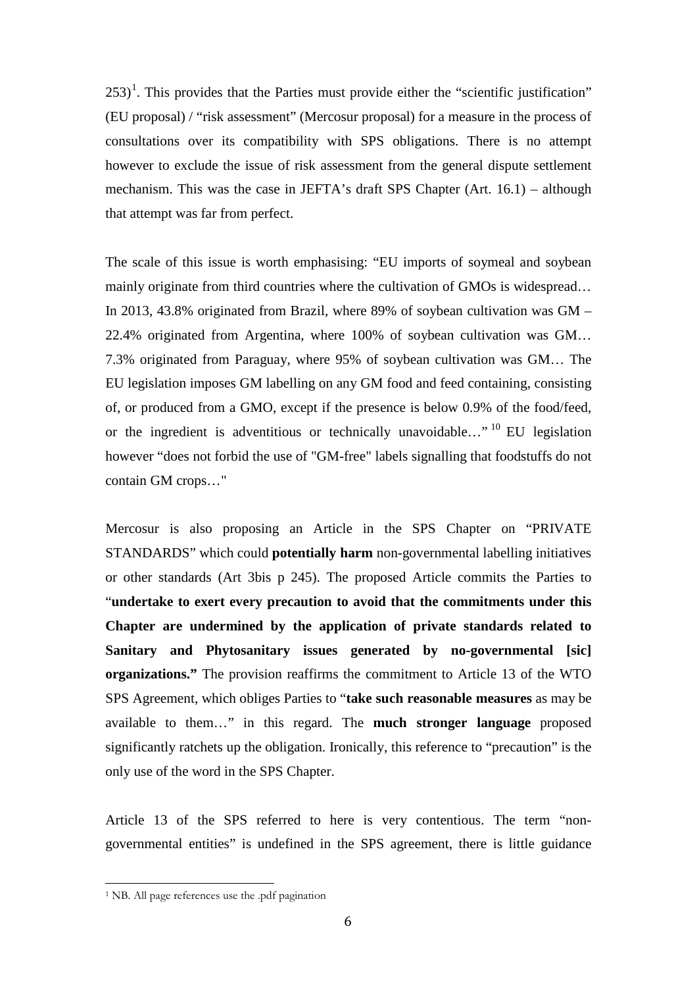$253$ <sup>[1](#page-5-0)</sup>. This provides that the Parties must provide either the "scientific justification" (EU proposal) / "risk assessment" (Mercosur proposal) for a measure in the process of consultations over its compatibility with SPS obligations. There is no attempt however to exclude the issue of risk assessment from the general dispute settlement mechanism. This was the case in JEFTA's draft SPS Chapter (Art. 16.1) – although that attempt was far from perfect.

The scale of this issue is worth emphasising: "EU imports of soymeal and soybean mainly originate from third countries where the cultivation of GMOs is widespread... In 2013, 43.8% originated from Brazil, where 89% of soybean cultivation was GM – 22.4% originated from Argentina, where 100% of soybean cultivation was GM… 7.3% originated from Paraguay, where 95% of soybean cultivation was GM… The EU legislation imposes GM labelling on any GM food and feed containing, consisting of, or produced from a GMO, except if the presence is below 0.9% of the food/feed, or the ingredient is adventitious or technically unavoidable..." <sup>[10](#page-13-6)</sup> EU legislation however "does not forbid the use of "GM-free" labels signalling that foodstuffs do not contain GM crops…"

Mercosur is also proposing an Article in the SPS Chapter on "PRIVATE STANDARDS" which could **potentially harm** non-governmental labelling initiatives or other standards (Art 3bis p 245). The proposed Article commits the Parties to "**undertake to exert every precaution to avoid that the commitments under this Chapter are undermined by the application of private standards related to Sanitary and Phytosanitary issues generated by no-governmental [sic] organizations."** The provision reaffirms the commitment to Article 13 of the WTO SPS Agreement, which obliges Parties to "**take such reasonable measures** as may be available to them…" in this regard. The **much stronger language** proposed significantly ratchets up the obligation. Ironically, this reference to "precaution" is the only use of the word in the SPS Chapter.

Article 13 of the SPS referred to here is very contentious. The term "nongovernmental entities" is undefined in the SPS agreement, there is little guidance

<span id="page-5-0"></span><sup>&</sup>lt;sup>1</sup> NB. All page references use the .pdf pagination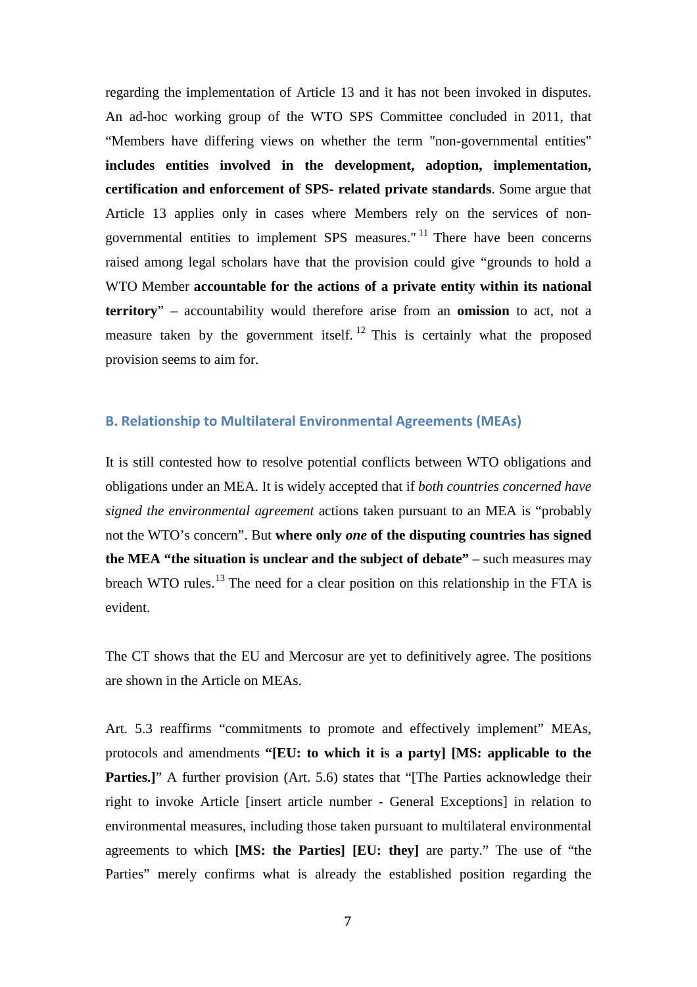regarding the implementation of Article 13 and it has not been invoked in disputes. An ad-hoc working group of the WTO SPS Committee concluded in 2011, that "Members have differing views on whether the term "non-governmental entities" **includes entities involved in the development, adoption, implementation, certification and enforcement of SPS- related private standards**. Some argue that Article 13 applies only in cases where Members rely on the services of nongovernmental entities to implement SPS measures." [11](#page-13-7) There have been concerns raised among legal scholars have that the provision could give "grounds to hold a WTO Member **accountable for the actions of a private entity within its national territory**" – accountability would therefore arise from an **omission** to act, not a measure taken by the government itself.<sup>[12](#page-13-8)</sup> This is certainly what the proposed provision seems to aim for.

## <span id="page-6-0"></span>**B. Relationship to Multilateral Environmental Agreements (MEAs)**

It is still contested how to resolve potential conflicts between WTO obligations and obligations under an MEA. It is widely accepted that if *both countries concerned have signed the environmental agreement* actions taken pursuant to an MEA is "probably not the WTO's concern". But **where only** *one* **of the disputing countries has signed the MEA "the situation is unclear and the subject of debate"** – such measures may breach WTO rules.<sup>[13](#page-13-9)</sup> The need for a clear position on this relationship in the FTA is evident.

The CT shows that the EU and Mercosur are yet to definitively agree. The positions are shown in the Article on MEAs.

Art. 5.3 reaffirms "commitments to promote and effectively implement" MEAs, protocols and amendments **"[EU: to which it is a party] [MS: applicable to the Parties.]**" A further provision (Art. 5.6) states that "[The Parties acknowledge their right to invoke Article [insert article number - General Exceptions] in relation to environmental measures, including those taken pursuant to multilateral environmental agreements to which **[MS: the Parties] [EU: they]** are party." The use of "the Parties" merely confirms what is already the established position regarding the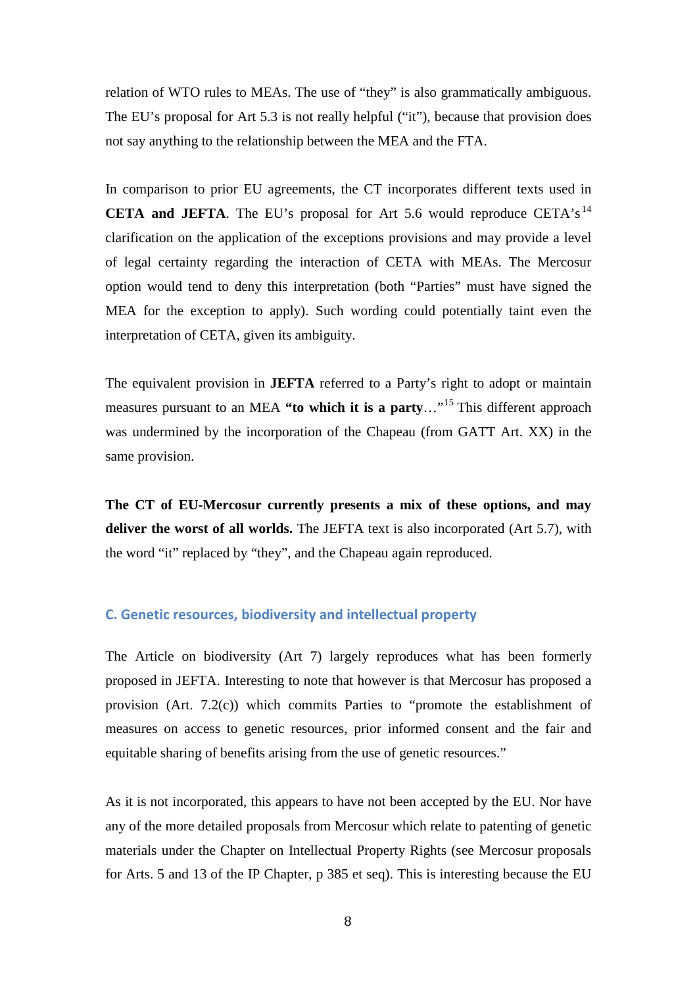relation of WTO rules to MEAs. The use of "they" is also grammatically ambiguous. The EU's proposal for Art 5.3 is not really helpful ("it"), because that provision does not say anything to the relationship between the MEA and the FTA.

In comparison to prior EU agreements, the CT incorporates different texts used in **CETA and JEFTA**. The EU's proposal for Art 5.6 would reproduce CETA's<sup>[14](#page-13-10)</sup> clarification on the application of the exceptions provisions and may provide a level of legal certainty regarding the interaction of CETA with MEAs. The Mercosur option would tend to deny this interpretation (both "Parties" must have signed the MEA for the exception to apply). Such wording could potentially taint even the interpretation of CETA, given its ambiguity.

The equivalent provision in **JEFTA** referred to a Party's right to adopt or maintain measures pursuant to an MEA **"to which it is a party**…"[15](#page-13-11) This different approach was undermined by the incorporation of the Chapeau (from GATT Art. XX) in the same provision.

**The CT of EU-Mercosur currently presents a mix of these options, and may deliver the worst of all worlds.** The JEFTA text is also incorporated (Art 5.7), with the word "it" replaced by "they", and the Chapeau again reproduced.

#### <span id="page-7-0"></span>**C. Genetic resources, biodiversity and intellectual property**

The Article on biodiversity (Art 7) largely reproduces what has been formerly proposed in JEFTA. Interesting to note that however is that Mercosur has proposed a provision (Art. 7.2(c)) which commits Parties to "promote the establishment of measures on access to genetic resources, prior informed consent and the fair and equitable sharing of benefits arising from the use of genetic resources."

As it is not incorporated, this appears to have not been accepted by the EU. Nor have any of the more detailed proposals from Mercosur which relate to patenting of genetic materials under the Chapter on Intellectual Property Rights (see Mercosur proposals for Arts. 5 and 13 of the IP Chapter, p 385 et seq). This is interesting because the EU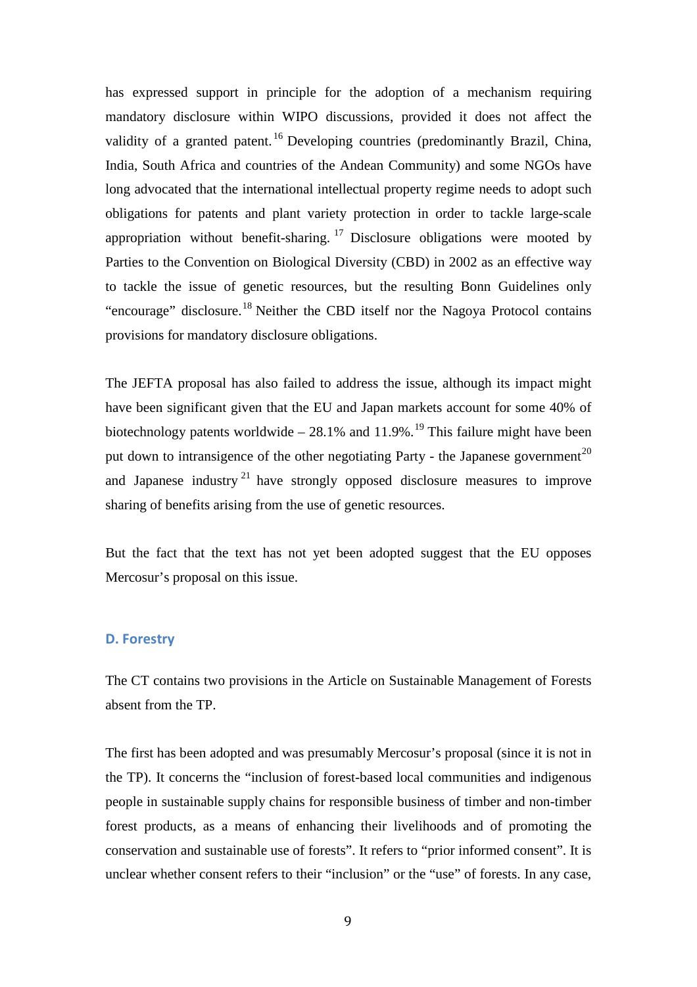has expressed support in principle for the adoption of a mechanism requiring mandatory disclosure within WIPO discussions, provided it does not affect the validity of a granted patent.<sup>[16](#page-13-12)</sup> Developing countries (predominantly Brazil, China, India, South Africa and countries of the Andean Community) and some NGOs have long advocated that the international intellectual property regime needs to adopt such obligations for patents and plant variety protection in order to tackle large-scale appropriation without benefit-sharing.  $17$  Disclosure obligations were mooted by Parties to the Convention on Biological Diversity (CBD) in 2002 as an effective way to tackle the issue of genetic resources, but the resulting Bonn Guidelines only "encourage" disclosure.<sup>[18](#page-13-14)</sup> Neither the CBD itself nor the Nagoya Protocol contains provisions for mandatory disclosure obligations.

The JEFTA proposal has also failed to address the issue, although its impact might have been significant given that the EU and Japan markets account for some 40% of biotechnology patents worldwide – 28.1% and 11.9%.<sup>[19](#page-13-15)</sup> This failure might have been put down to intransigence of the other negotiating Party - the Japanese government<sup>[20](#page-13-16)</sup> and Japanese industry<sup>[21](#page-13-17)</sup> have strongly opposed disclosure measures to improve sharing of benefits arising from the use of genetic resources.

But the fact that the text has not yet been adopted suggest that the EU opposes Mercosur's proposal on this issue.

#### <span id="page-8-0"></span>**D. Forestry**

The CT contains two provisions in the Article on Sustainable Management of Forests absent from the TP.

The first has been adopted and was presumably Mercosur's proposal (since it is not in the TP). It concerns the "inclusion of forest-based local communities and indigenous people in sustainable supply chains for responsible business of timber and non-timber forest products, as a means of enhancing their livelihoods and of promoting the conservation and sustainable use of forests". It refers to "prior informed consent". It is unclear whether consent refers to their "inclusion" or the "use" of forests. In any case,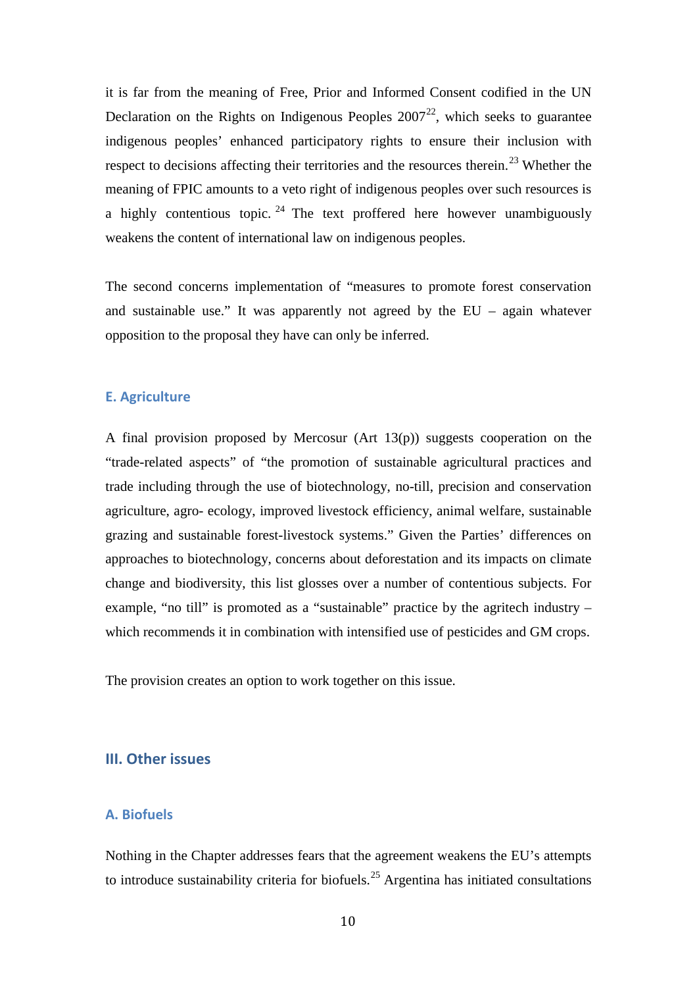it is far from the meaning of Free, Prior and Informed Consent codified in the UN Declaration on the Rights on Indigenous Peoples  $2007^{22}$  $2007^{22}$  $2007^{22}$ , which seeks to guarantee indigenous peoples' enhanced participatory rights to ensure their inclusion with respect to decisions affecting their territories and the resources therein.<sup>[23](#page-13-19)</sup> Whether the meaning of FPIC amounts to a veto right of indigenous peoples over such resources is a highly contentious topic. <sup>[24](#page-13-20)</sup> The text proffered here however unambiguously weakens the content of international law on indigenous peoples.

The second concerns implementation of "measures to promote forest conservation and sustainable use." It was apparently not agreed by the EU – again whatever opposition to the proposal they have can only be inferred.

#### <span id="page-9-0"></span>**E. Agriculture**

A final provision proposed by Mercosur (Art 13(p)) suggests cooperation on the "trade-related aspects" of "the promotion of sustainable agricultural practices and trade including through the use of biotechnology, no-till, precision and conservation agriculture, agro- ecology, improved livestock efficiency, animal welfare, sustainable grazing and sustainable forest-livestock systems." Given the Parties' differences on approaches to biotechnology, concerns about deforestation and its impacts on climate change and biodiversity, this list glosses over a number of contentious subjects. For example, "no till" is promoted as a "sustainable" practice by the agritech industry – which recommends it in combination with intensified use of pesticides and GM crops.

The provision creates an option to work together on this issue.

#### <span id="page-9-1"></span>**III. Other issues**

## <span id="page-9-2"></span>**A. Biofuels**

Nothing in the Chapter addresses fears that the agreement weakens the EU's attempts to introduce sustainability criteria for biofuels.<sup>[25](#page-13-21)</sup> Argentina has initiated consultations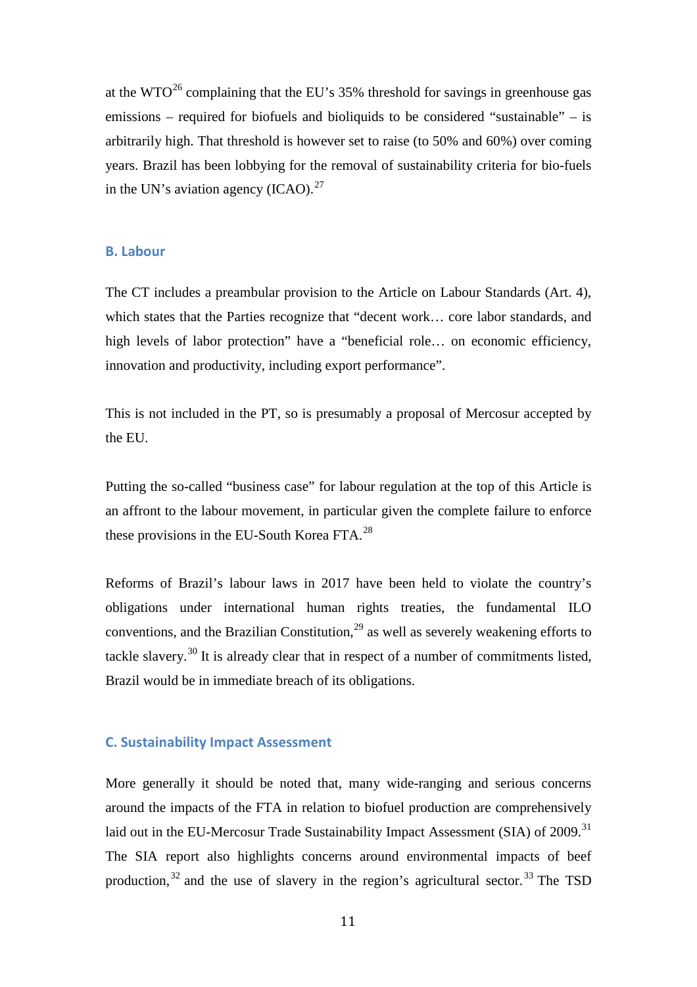at the  $WTO^{26}$  $WTO^{26}$  $WTO^{26}$  complaining that the EU's 35% threshold for savings in greenhouse gas emissions – required for biofuels and bioliquids to be considered "sustainable" – is arbitrarily high. That threshold is however set to raise (to 50% and 60%) over coming years. Brazil has been lobbying for the removal of sustainability criteria for bio-fuels in the UN's aviation agency  $(ICAO)^{27}$  $(ICAO)^{27}$  $(ICAO)^{27}$ 

#### <span id="page-10-0"></span>**B. Labour**

The CT includes a preambular provision to the Article on Labour Standards (Art. 4), which states that the Parties recognize that "decent work... core labor standards, and high levels of labor protection" have a "beneficial role... on economic efficiency, innovation and productivity, including export performance".

This is not included in the PT, so is presumably a proposal of Mercosur accepted by the EU.

Putting the so-called "business case" for labour regulation at the top of this Article is an affront to the labour movement, in particular given the complete failure to enforce these provisions in the EU-South Korea FTA.[28](#page-13-24)

Reforms of Brazil's labour laws in 2017 have been held to violate the country's obligations under international human rights treaties, the fundamental ILO conventions, and the Brazilian Constitution, $^{29}$  $^{29}$  $^{29}$  as well as severely weakening efforts to tackle slavery.<sup>[30](#page-13-26)</sup> It is already clear that in respect of a number of commitments listed, Brazil would be in immediate breach of its obligations.

## <span id="page-10-1"></span>**C. Sustainability Impact Assessment**

More generally it should be noted that, many wide-ranging and serious concerns around the impacts of the FTA in relation to biofuel production are comprehensively laid out in the EU-Mercosur Trade Sustainability Impact Assessment (SIA) of 2009.<sup>[31](#page-13-27)</sup> The SIA report also highlights concerns around environmental impacts of beef production, $32$  and the use of slavery in the region's agricultural sector.  $33$  The TSD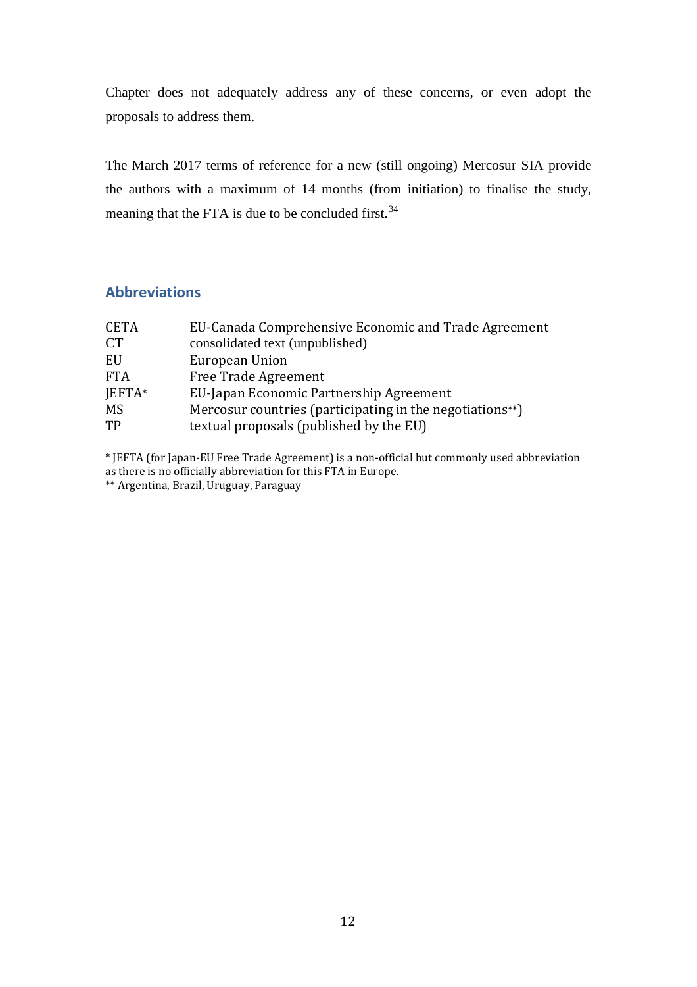Chapter does not adequately address any of these concerns, or even adopt the proposals to address them.

The March 2017 terms of reference for a new (still ongoing) Mercosur SIA provide the authors with a maximum of 14 months (from initiation) to finalise the study, meaning that the FTA is due to be concluded first.  $34$ 

# <span id="page-11-0"></span>**Abbreviations**

| EU-Canada Comprehensive Economic and Trade Agreement     |
|----------------------------------------------------------|
|                                                          |
|                                                          |
|                                                          |
|                                                          |
| Mercosur countries (participating in the negotiations**) |
|                                                          |
|                                                          |

\* JEFTA (for Japan-EU Free Trade Agreement) is a non-official but commonly used abbreviation as there is no officially abbreviation for this FTA in Europe.

\*\* Argentina, Brazil, Uruguay, Paraguay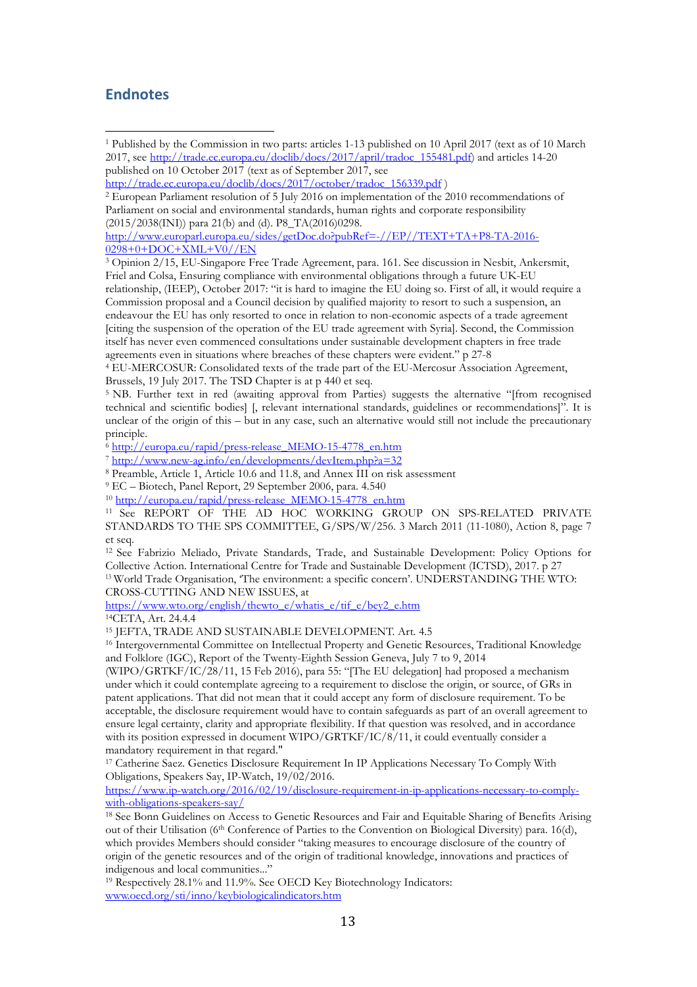## <span id="page-12-0"></span>**Endnotes**

[http://www.europarl.europa.eu/sides/getDoc.do?pubRef=-//EP//TEXT+TA+P8-TA-2016-](http://www.europarl.europa.eu/sides/getDoc.do?pubRef=-//EP//TEXT+TA+P8-TA-2016-0298+0+DOC+XML+V0//EN) [0298+0+DOC+XML+V0//EN](http://www.europarl.europa.eu/sides/getDoc.do?pubRef=-//EP//TEXT+TA+P8-TA-2016-0298+0+DOC+XML+V0//EN)

<span id="page-12-3"></span><sup>3</sup> Opinion 2/15, EU-Singapore Free Trade Agreement, para. 161. See discussion in Nesbit, Ankersmit, Friel and Colsa, Ensuring compliance with environmental obligations through a future UK-EU relationship, (IEEP), October 2017: "it is hard to imagine the EU doing so. First of all, it would require a Commission proposal and a Council decision by qualified majority to resort to such a suspension, an endeavour the EU has only resorted to once in relation to non-economic aspects of a trade agreement [citing the suspension of the operation of the EU trade agreement with Syria]. Second, the Commission itself has never even commenced consultations under sustainable development chapters in free trade agreements even in situations where breaches of these chapters were evident." p 27-8

<sup>4</sup> EU-MERCOSUR: Consolidated texts of the trade part of the EU-Mercosur Association Agreement, Brussels, 19 July 2017. The TSD Chapter is at p 440 et seq.

<sup>5</sup> NB. Further text in red (awaiting approval from Parties) suggests the alternative "[from recognised technical and scientific bodies] [, relevant international standards, guidelines or recommendations]". It is unclear of the origin of this – but in any case, such an alternative would still not include the precautionary principle.

<sup>6</sup> [http://europa.eu/rapid/press-release\\_MEMO-15-4778\\_en.htm](http://europa.eu/rapid/press-release_MEMO-15-4778_en.htm)

 $7 \frac{\text{http://www.new-ag.info/en/developments/devItem.php?a=32}}{$  $7 \frac{\text{http://www.new-ag.info/en/developments/devItem.php?a=32}}{$  $7 \frac{\text{http://www.new-ag.info/en/developments/devItem.php?a=32}}{$ 

<sup>8</sup> Preamble, Article 1, Article 10.6 and 11.8, and Annex III on risk assessment

<sup>9</sup> EC – Biotech, Panel Report, 29 September 2006, para. 4.540

<sup>10</sup> [http://europa.eu/rapid/press-release\\_MEMO-15-4778\\_en.htm](http://europa.eu/rapid/press-release_MEMO-15-4778_en.htm)

<sup>11</sup> See REPORT OF THE AD HOC WORKING GROUP ON SPS-RELATED PRIVATE STANDARDS TO THE SPS COMMITTEE, G/SPS/W/256. 3 March 2011 (11-1080), Action 8, page 7 et seq.

<sup>12</sup> See Fabrizio Meliado, Private Standards, Trade, and Sustainable Development: Policy Options for Collective Action. International Centre for Trade and Sustainable Development (ICTSD), 2017. p 27 <sup>13</sup> World Trade Organisation, 'The environment: a specific concern'. UNDERSTANDING THE WTO:

CROSS-CUTTING AND NEW ISSUES, at

[https://www.wto.org/english/thewto\\_e/whatis\\_e/tif\\_e/bey2\\_e.htm](https://www.wto.org/english/thewto_e/whatis_e/tif_e/bey2_e.htm)

14CETA, Art. 24.4.4

<sup>15</sup> JEFTA, TRADE AND SUSTAINABLE DEVELOPMENT. Art. 4.5

<sup>16</sup> Intergovernmental Committee on Intellectual Property and Genetic Resources, Traditional Knowledge and Folklore (IGC), Report of the Twenty-Eighth Session Geneva, July 7 to 9, 2014

(WIPO/GRTKF/IC/28/11, 15 Feb 2016), para 55: "[The EU delegation] had proposed a mechanism under which it could contemplate agreeing to a requirement to disclose the origin, or source, of GRs in patent applications. That did not mean that it could accept any form of disclosure requirement. To be acceptable, the disclosure requirement would have to contain safeguards as part of an overall agreement to ensure legal certainty, clarity and appropriate flexibility. If that question was resolved, and in accordance with its position expressed in document WIPO/GRTKF/IC/8/11, it could eventually consider a mandatory requirement in that regard."

<sup>17</sup> Catherine Saez. Genetics Disclosure Requirement In IP Applications Necessary To Comply With Obligations, Speakers Say, IP-Watch, 19/02/2016.

[https://www.ip-watch.org/2016/02/19/disclosure-requirement-in-ip-applications-necessary-to-comply](https://www.ip-watch.org/2016/02/19/disclosure-requirement-in-ip-applications-necessary-to-comply-with-obligations-speakers-say/)[with-obligations-speakers-say/](https://www.ip-watch.org/2016/02/19/disclosure-requirement-in-ip-applications-necessary-to-comply-with-obligations-speakers-say/)

<sup>18</sup> See Bonn Guidelines on Access to Genetic Resources and Fair and Equitable Sharing of Benefits Arising out of their Utilisation (6<sup>th</sup> Conference of Parties to the Convention on Biological Diversity) para. 16(d), which provides Members should consider "taking measures to encourage disclosure of the country of origin of the genetic resources and of the origin of traditional knowledge, innovations and practices of indigenous and local communities..."

<sup>19</sup> Respectively 28.1% and 11.9%. See OECD Key Biotechnology Indicators: [www.oecd.org/sti/inno/keybiologicalindicators.htm](http://www.oecd.org/sti/inno/keybiologicalindicators.htm)

<span id="page-12-1"></span><sup>1</sup> Published by the Commission in two parts: articles 1-13 published on 10 April 2017 (text as of 10 March 2017, see [http://trade.ec.europa.eu/doclib/docs/2017/april/tradoc\\_155481.pdf\)](http://trade.ec.europa.eu/doclib/docs/2017/april/tradoc_155481.pdf) and articles 14-20 published on 10 October 2017 (text as of September 2017, see

[http://trade.ec.europa.eu/doclib/docs/2017/october/tradoc\\_156339.pdf](http://trade.ec.europa.eu/doclib/docs/2017/october/tradoc_156339.pdf))

<span id="page-12-2"></span><sup>2</sup> European Parliament resolution of 5 July 2016 on implementation of the 2010 recommendations of Parliament on social and environmental standards, human rights and corporate responsibility (2015/2038(INI)) para 21(b) and (d). P8\_TA(2016)0298.